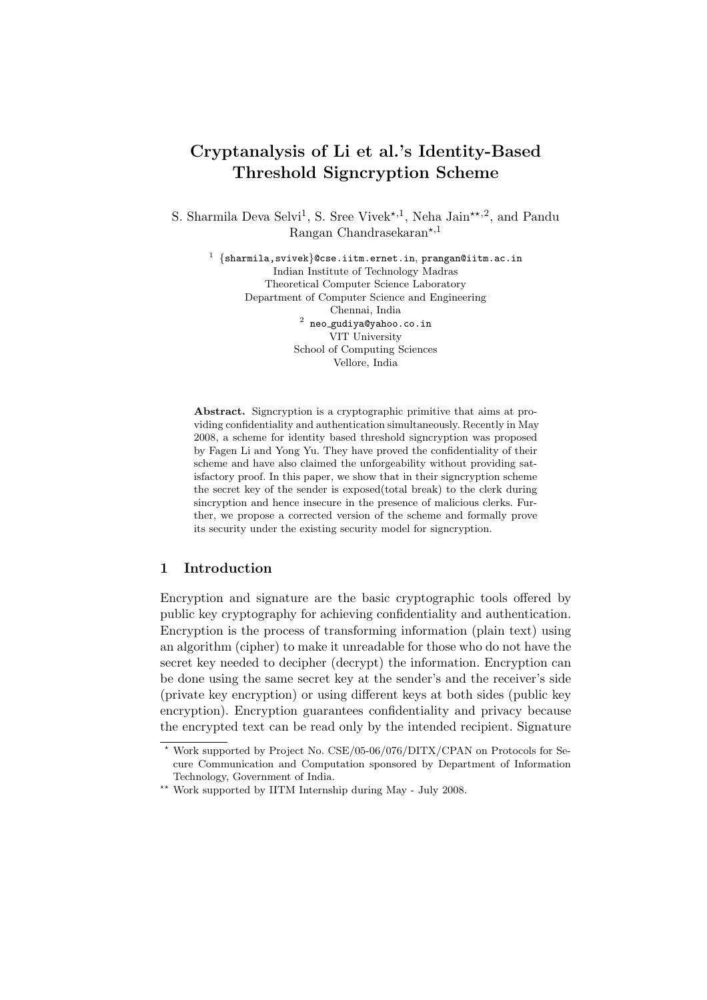# Cryptanalysis of Li et al.'s Identity-Based Threshold Signcryption Scheme

S. Sharmila Deva Selvi<sup>1</sup>, S. Sree Vivek<sup>\*,1</sup>, Neha Jain<sup>\*\*,2</sup>, and Pandu Rangan Chandrasekaran\*,1

 $^1$   $\{$ sharmila,svivek $\}$ @cse.iitm.ernet.in,prangan@iitm.ac.in Indian Institute of Technology Madras Theoretical Computer Science Laboratory Department of Computer Science and Engineering Chennai, India  $^{\rm 2}$  neo\_gudiya@yahoo.co.in VIT University School of Computing Sciences Vellore, India

Abstract. Signcryption is a cryptographic primitive that aims at providing confidentiality and authentication simultaneously. Recently in May 2008, a scheme for identity based threshold signcryption was proposed by Fagen Li and Yong Yu. They have proved the confidentiality of their scheme and have also claimed the unforgeability without providing satisfactory proof. In this paper, we show that in their signcryption scheme the secret key of the sender is exposed(total break) to the clerk during sincryption and hence insecure in the presence of malicious clerks. Further, we propose a corrected version of the scheme and formally prove its security under the existing security model for signcryption.

# 1 Introduction

Encryption and signature are the basic cryptographic tools offered by public key cryptography for achieving confidentiality and authentication. Encryption is the process of transforming information (plain text) using an algorithm (cipher) to make it unreadable for those who do not have the secret key needed to decipher (decrypt) the information. Encryption can be done using the same secret key at the sender's and the receiver's side (private key encryption) or using different keys at both sides (public key encryption). Encryption guarantees confidentiality and privacy because the encrypted text can be read only by the intended recipient. Signature

<sup>?</sup> Work supported by Project No. CSE/05-06/076/DITX/CPAN on Protocols for Secure Communication and Computation sponsored by Department of Information Technology, Government of India.

<sup>\*\*</sup> Work supported by IITM Internship during May - July 2008.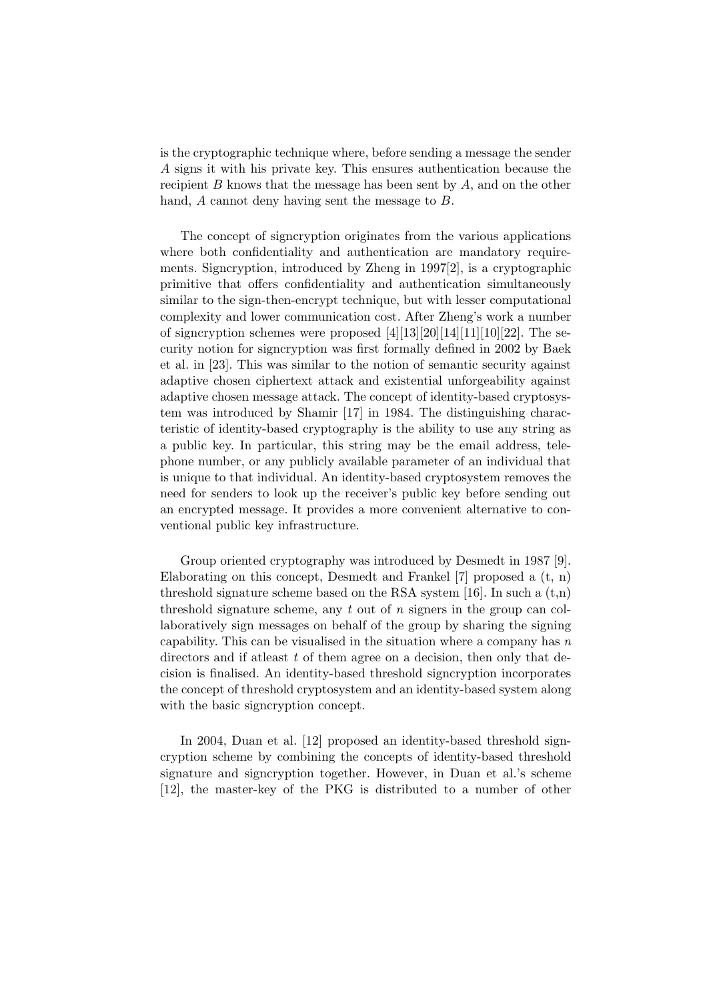is the cryptographic technique where, before sending a message the sender A signs it with his private key. This ensures authentication because the recipient  $B$  knows that the message has been sent by  $A$ , and on the other hand, A cannot deny having sent the message to B.

The concept of signcryption originates from the various applications where both confidentiality and authentication are mandatory requirements. Signcryption, introduced by Zheng in 1997[2], is a cryptographic primitive that offers confidentiality and authentication simultaneously similar to the sign-then-encrypt technique, but with lesser computational complexity and lower communication cost. After Zheng's work a number of signcryption schemes were proposed  $[4][13][20][14][11][10][22]$ . The security notion for signcryption was first formally defined in 2002 by Baek et al. in [23]. This was similar to the notion of semantic security against adaptive chosen ciphertext attack and existential unforgeability against adaptive chosen message attack. The concept of identity-based cryptosystem was introduced by Shamir [17] in 1984. The distinguishing characteristic of identity-based cryptography is the ability to use any string as a public key. In particular, this string may be the email address, telephone number, or any publicly available parameter of an individual that is unique to that individual. An identity-based cryptosystem removes the need for senders to look up the receiver's public key before sending out an encrypted message. It provides a more convenient alternative to conventional public key infrastructure.

Group oriented cryptography was introduced by Desmedt in 1987 [9]. Elaborating on this concept, Desmedt and Frankel [7] proposed a (t, n) threshold signature scheme based on the RSA system [16]. In such a  $(t,n)$ threshold signature scheme, any t out of n signers in the group can collaboratively sign messages on behalf of the group by sharing the signing capability. This can be visualised in the situation where a company has  $n$ directors and if at least  $t$  of them agree on a decision, then only that decision is finalised. An identity-based threshold signcryption incorporates the concept of threshold cryptosystem and an identity-based system along with the basic signcryption concept.

In 2004, Duan et al. [12] proposed an identity-based threshold signcryption scheme by combining the concepts of identity-based threshold signature and signcryption together. However, in Duan et al.'s scheme [12], the master-key of the PKG is distributed to a number of other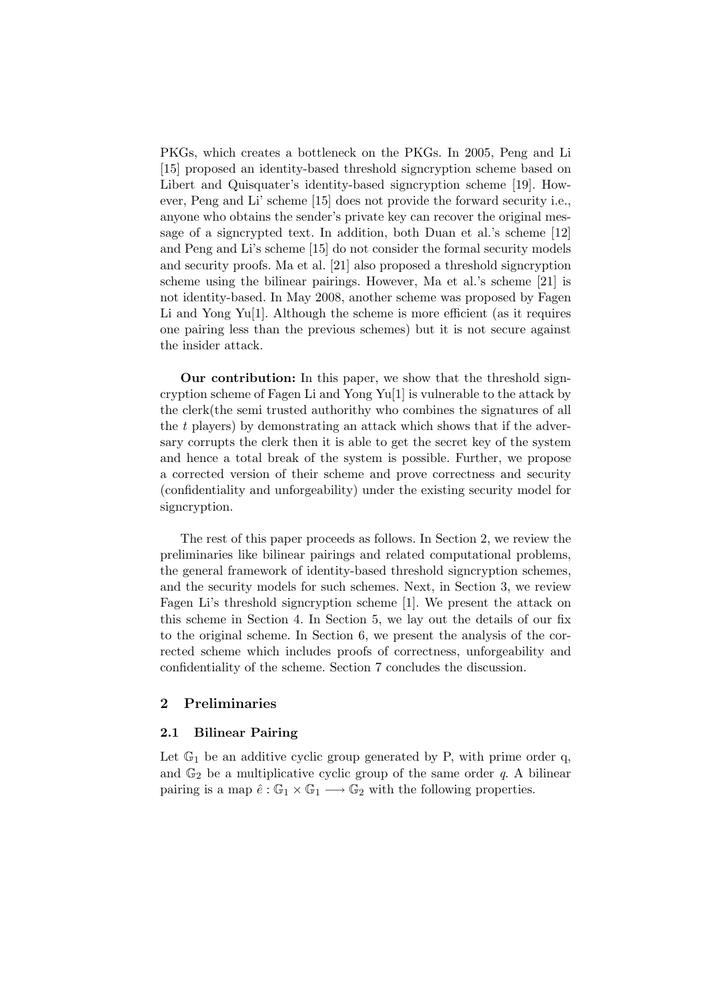PKGs, which creates a bottleneck on the PKGs. In 2005, Peng and Li [15] proposed an identity-based threshold signcryption scheme based on Libert and Quisquater's identity-based signcryption scheme [19]. However, Peng and Li' scheme [15] does not provide the forward security i.e., anyone who obtains the sender's private key can recover the original message of a signcrypted text. In addition, both Duan et al.'s scheme [12] and Peng and Li's scheme [15] do not consider the formal security models and security proofs. Ma et al. [21] also proposed a threshold signcryption scheme using the bilinear pairings. However, Ma et al.'s scheme [21] is not identity-based. In May 2008, another scheme was proposed by Fagen Li and Yong Yu[1]. Although the scheme is more efficient (as it requires one pairing less than the previous schemes) but it is not secure against the insider attack.

Our contribution: In this paper, we show that the threshold signcryption scheme of Fagen Li and Yong Yu[1] is vulnerable to the attack by the clerk(the semi trusted authorithy who combines the signatures of all the t players) by demonstrating an attack which shows that if the adversary corrupts the clerk then it is able to get the secret key of the system and hence a total break of the system is possible. Further, we propose a corrected version of their scheme and prove correctness and security (confidentiality and unforgeability) under the existing security model for signcryption.

The rest of this paper proceeds as follows. In Section 2, we review the preliminaries like bilinear pairings and related computational problems, the general framework of identity-based threshold signcryption schemes, and the security models for such schemes. Next, in Section 3, we review Fagen Li's threshold signcryption scheme [1]. We present the attack on this scheme in Section 4. In Section 5, we lay out the details of our fix to the original scheme. In Section 6, we present the analysis of the corrected scheme which includes proofs of correctness, unforgeability and confidentiality of the scheme. Section 7 concludes the discussion.

## 2 Preliminaries

## 2.1 Bilinear Pairing

Let  $\mathbb{G}_1$  be an additive cyclic group generated by P, with prime order q, and  $\mathbb{G}_2$  be a multiplicative cyclic group of the same order  $q$ . A bilinear pairing is a map  $\hat{e} : \mathbb{G}_1 \times \mathbb{G}_1 \longrightarrow \mathbb{G}_2$  with the following properties.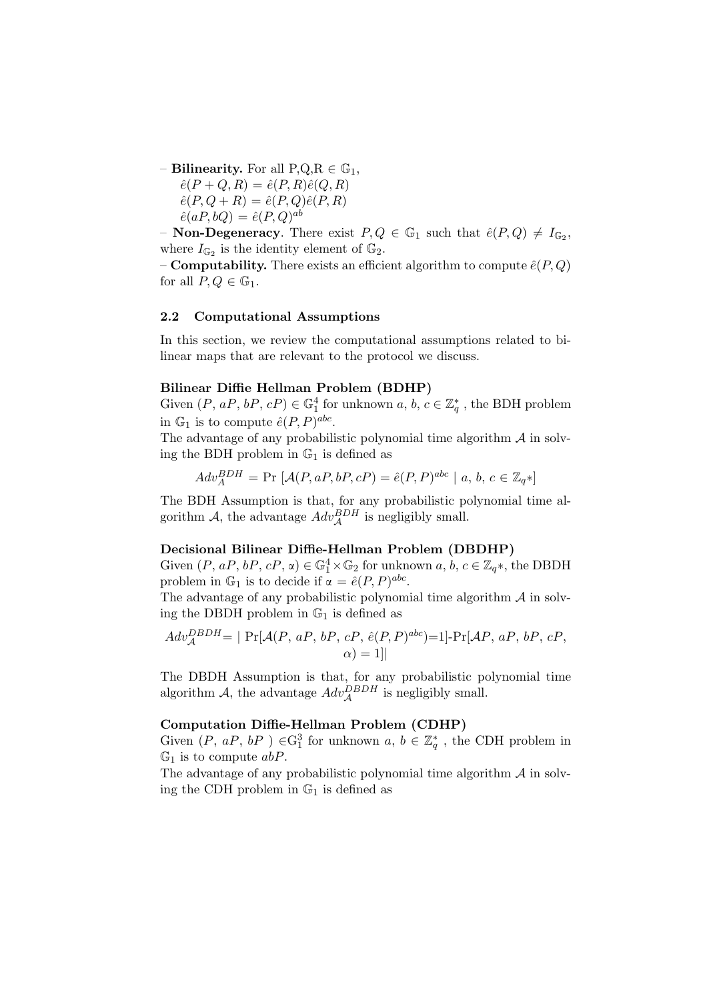– **Bilinearity.** For all  $P,Q,R \in \mathbb{G}_1$ ,

 $\hat{e}(P+Q,R) = \hat{e}(P,R)\hat{e}(Q,R)$  $\hat{e}(P,Q+R) = \hat{e}(P,Q)\hat{e}(P,R)$  $\hat{e}(aP, bQ) = \hat{e}(P, Q)^{ab}$ 

- **Non-Degeneracy**. There exist  $P, Q \in \mathbb{G}_1$  such that  $\hat{e}(P, Q) \neq I_{\mathbb{G}_2}$ , where  $I_{\mathbb{G}_2}$  is the identity element of  $\mathbb{G}_2$ .

– **Computability.** There exists an efficient algorithm to compute  $\hat{e}(P,Q)$ for all  $P, Q \in \mathbb{G}_1$ .

### 2.2 Computational Assumptions

In this section, we review the computational assumptions related to bilinear maps that are relevant to the protocol we discuss.

#### Bilinear Diffie Hellman Problem (BDHP)

Given  $(P, aP, bP, cP) \in \mathbb{G}_1^4$  for unknown  $a, b, c \in \mathbb{Z}_q^*$ , the BDH problem in  $\mathbb{G}_1$  is to compute  $\hat{e}(P, P)^{abc}$ .

The advantage of any probabilistic polynomial time algorithm  $A$  in solving the BDH problem in  $\mathbb{G}_1$  is defined as

$$
Adv_A^{BDH} = \Pr\left[\mathcal{A}(P, aP, bP, cP) = \hat{e}(P, P)^{abc} \mid a, b, c \in \mathbb{Z}_q * \right]
$$

The BDH Assumption is that, for any probabilistic polynomial time algorithm A, the advantage  $Adv_{\mathcal{A}}^{BDH}$  is negligibly small.

#### Decisional Bilinear Diffie-Hellman Problem (DBDHP)

Given  $(P, aP, bP, cP, \alpha) \in \mathbb{G}_1^4 \times \mathbb{G}_2$  for unknown  $a, b, c \in \mathbb{Z}_{q^*}$ , the DBDH problem in  $\mathbb{G}_1$  is to decide if  $\alpha = \hat{e}(P, P)^{abc}$ .

The advantage of any probabilistic polynomial time algorithm  $A$  in solving the DBDH problem in  $\mathbb{G}_1$  is defined as

$$
Adv_{\mathcal{A}}^{DBDH} = | \Pr[\mathcal{A}(P, aP, bP, cP, \hat{e}(P, P)^{abc}) = 1] - \Pr[\mathcal{A}P, aP, bP, cP, \alpha) = 1 | ]
$$

The DBDH Assumption is that, for any probabilistic polynomial time algorithm A, the advantage  $Adv_{\mathcal{A}}^{DBDH}$  is negligibly small.

#### Computation Diffie-Hellman Problem (CDHP)

Given  $(P, aP, bP) \in G_1^3$  for unknown  $a, b \in \mathbb{Z}_q^*$ , the CDH problem in  $\mathbb{G}_1$  is to compute  $abP$ .

The advantage of any probabilistic polynomial time algorithm  $A$  in solving the CDH problem in  $\mathbb{G}_1$  is defined as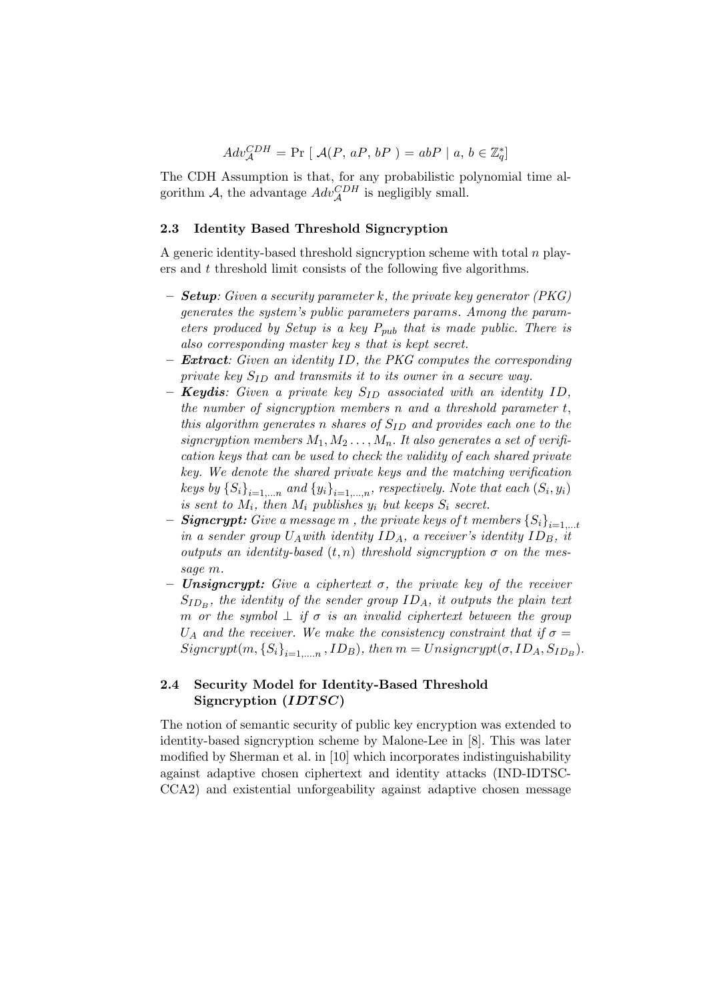$$
Adv_{\mathcal{A}}^{CDH} = \Pr [\ \mathcal{A}(P, aP, bP) = abP \ | \ a, b \in \mathbb{Z}_q^*]
$$

The CDH Assumption is that, for any probabilistic polynomial time algorithm A, the advantage  $Adv_{\mathcal{A}}^{CDH}$  is negligibly small.

#### 2.3 Identity Based Threshold Signcryption

A generic identity-based threshold signcryption scheme with total  $n$  players and t threshold limit consists of the following five algorithms.

- $-$  **Setup**: Given a security parameter k, the private key generator (PKG) generates the system's public parameters params. Among the parameters produced by Setup is a key  $P_{pub}$  that is made public. There is also corresponding master key s that is kept secret.
- **Extract:** Given an identity ID, the PKG computes the corresponding private key  $S_{ID}$  and transmits it to its owner in a secure way.
- **Keydis**: Given a private key  $S_{ID}$  associated with an identity ID, the number of signcryption members  $n$  and a threshold parameter  $t$ , this algorithm generates n shares of  $S_{ID}$  and provides each one to the signcryption members  $M_1, M_2, \ldots, M_n$ . It also generates a set of verification keys that can be used to check the validity of each shared private key. We denote the shared private keys and the matching verification keys by  $\{S_i\}_{i=1,...n}$  and  $\{y_i\}_{i=1,...,n}$ , respectively. Note that each  $(S_i, y_i)$ is sent to  $M_i$ , then  $M_i$  publishes  $y_i$  but keeps  $S_i$  secret.
- **Signcrypt:** Give a message m, the private keys of t members  $\{S_i\}_{i=1,\dots,t}$ in a sender group  $U_A$  with identity  $ID_A$ , a receiver's identity  $ID_B$ , it outputs an identity-based  $(t, n)$  threshold signcryption  $\sigma$  on the message m.
- **Unsigncrypt:** Give a ciphertext  $\sigma$ , the private key of the receiver  $S_{ID_B}$ , the identity of the sender group  $ID_A$ , it outputs the plain text m or the symbol  $\perp$  if  $\sigma$  is an invalid ciphertext between the group  $U_A$  and the receiver. We make the consistency constraint that if  $\sigma =$  $Signerypt(m, {S<sub>i</sub>}<sub>i=1,...,n</sub>, ID<sub>B</sub>), then m = Unsigncrypt(\sigma, ID<sub>A</sub>, S<sub>ID<sub>B</sub></sub>).$

# 2.4 Security Model for Identity-Based Threshold Signcryption  $(IDTSC)$

The notion of semantic security of public key encryption was extended to identity-based signcryption scheme by Malone-Lee in [8]. This was later modified by Sherman et al. in [10] which incorporates indistinguishability against adaptive chosen ciphertext and identity attacks (IND-IDTSC-CCA2) and existential unforgeability against adaptive chosen message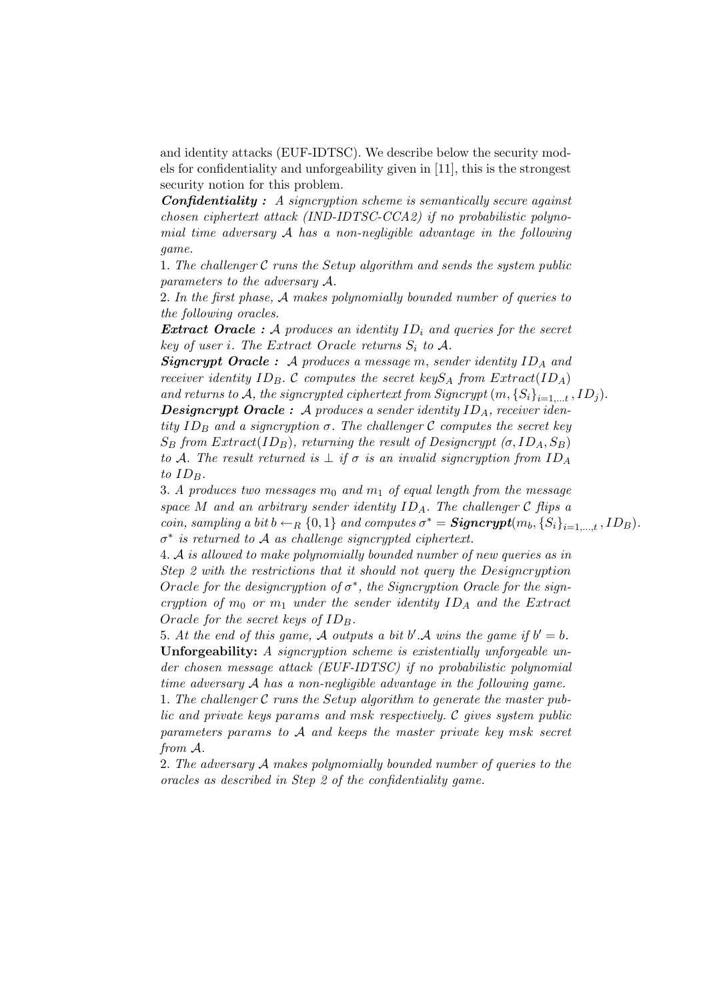and identity attacks (EUF-IDTSC). We describe below the security models for confidentiality and unforgeability given in [11], this is the strongest security notion for this problem.

Confidentiality : A signcryption scheme is semantically secure against chosen ciphertext attack (IND-IDTSC-CCA2) if no probabilistic polynomial time adversary  $A$  has a non-negligible advantage in the following game.

1. The challenger  $C$  runs the Setup algorithm and sends the system public parameters to the adversary A.

2. In the first phase, A makes polynomially bounded number of queries to the following oracles.

**Extract Oracle** : A produces an identity  $ID_i$  and queries for the secret key of user i. The Extract Oracle returns  $S_i$  to A.

**Signcrypt Oracle :** A produces a message m, sender identity  $ID_A$  and receiver identity  $ID_B$ . C computes the secret key $S_A$  from  $Extract(ID_A)$ 

and returns to A, the signcrypted ciphertext from Signcrypt  $(m, {S_i}_{i=1,\ldots,t}, ID_j)$ .

**Designcrypt Oracle :** A produces a sender identity  $ID_A$ , receiver identity  $ID_B$  and a signcryption  $\sigma$ . The challenger C computes the secret key  $S_B$  from  $Extract(ID_B)$ , returning the result of Designcrypt ( $\sigma$ , ID<sub>A</sub>,  $S_B$ ) to A. The result returned is  $\perp$  if  $\sigma$  is an invalid signcryption from ID<sub>A</sub> to  $ID_B$ .

3. A produces two messages  $m_0$  and  $m_1$  of equal length from the message space M and an arbitrary sender identity  $ID_A$ . The challenger C flips a coin, sampling a bit  $b \leftarrow_R \{0,1\}$  and computes  $\sigma^* = \mathbf{Signerypt}(m_b, \{S_i\}_{i=1,\dots,t}, ID_B)$ .  $\sigma^*$  is returned to A as challenge signcrypted ciphertext.

4. A is allowed to make polynomially bounded number of new queries as in Step 2 with the restrictions that it should not query the Designcryption Oracle for the designcryption of  $\sigma^*$ , the Signcryption Oracle for the signcryption of  $m_0$  or  $m_1$  under the sender identity  $ID_A$  and the Extract Oracle for the secret keys of  $ID_B$ .

5. At the end of this game, A outputs a bit b'.A wins the game if  $b' = b$ . Unforgeability: A signcryption scheme is existentially unforgeable under chosen message attack (EUF-IDTSC) if no probabilistic polynomial time adversary A has a non-negligible advantage in the following game.

1. The challenger  $\mathcal C$  runs the Setup algorithm to generate the master public and private keys params and msk respectively. C gives system public parameters params to A and keeps the master private key msk secret from A.

2. The adversary A makes polynomially bounded number of queries to the oracles as described in Step 2 of the confidentiality game.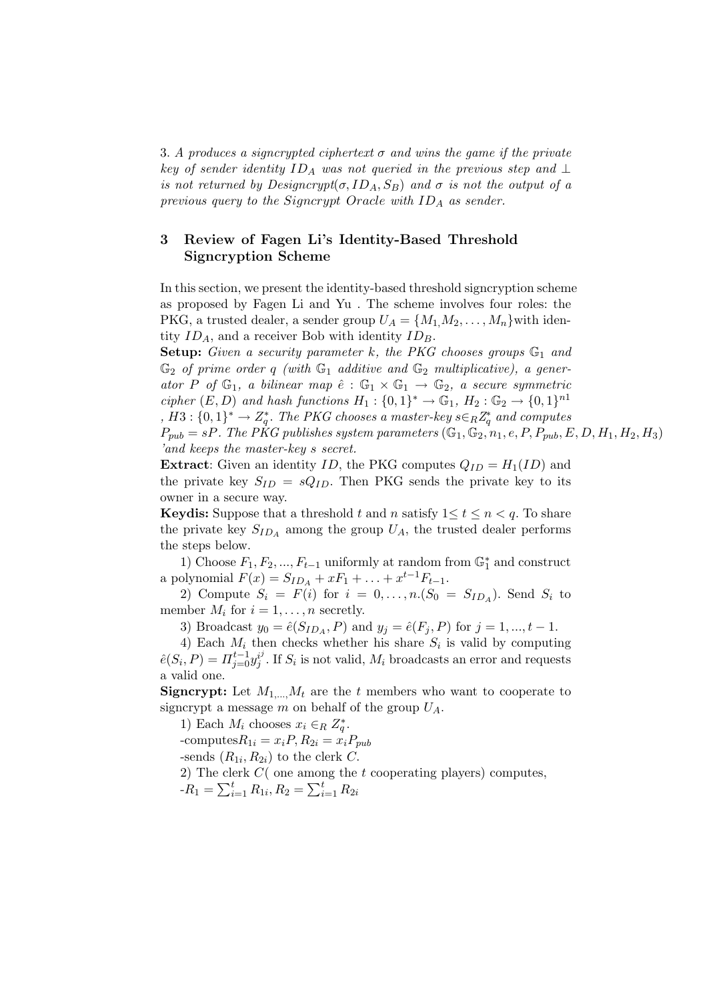3. A produces a signcrypted ciphertext  $\sigma$  and wins the game if the private key of sender identity  $ID_A$  was not queried in the previous step and  $\perp$ is not returned by  $Designcrypt(\sigma, ID_A, S_B)$  and  $\sigma$  is not the output of a previous query to the Signcrypt Oracle with  $ID_A$  as sender.

# 3 Review of Fagen Li's Identity-Based Threshold Signcryption Scheme

In this section, we present the identity-based threshold signcryption scheme as proposed by Fagen Li and Yu . The scheme involves four roles: the PKG, a trusted dealer, a sender group  $U_A = \{M_1, M_2, \ldots, M_n\}$  with identity  $ID_A$ , and a receiver Bob with identity  $ID_B$ .

**Setup:** Given a security parameter k, the PKG chooses groups  $\mathbb{G}_1$  and  $\mathbb{G}_2$  of prime order q (with  $\mathbb{G}_1$  additive and  $\mathbb{G}_2$  multiplicative), a generator P of  $\mathbb{G}_1$ , a bilinear map  $\hat{e} : \mathbb{G}_1 \times \mathbb{G}_1 \to \mathbb{G}_2$ , a secure symmetric cipher  $(E, D)$  and hash functions  $H_1: \{0,1\}^* \to \mathbb{G}_1$ ,  $H_2: \mathbb{G}_2 \to \{0,1\}^{n_1}$ ,  $H3: \{0,1\}^* \to Z_q^*$ . The PKG chooses a master-key  $s \in_R Z_q^*$  and computes

 $P_{pub} = sP$ . The PKG publishes system parameters  $(\mathbb{G}_1, \mathbb{G}_2, n_1, e, P, P_{pub}, E, D, H_1, H_2, H_3)$ 'and keeps the master-key s secret.

**Extract:** Given an identity ID, the PKG computes  $Q_{ID} = H_1(ID)$  and the private key  $S_{ID} = sQ_{ID}$ . Then PKG sends the private key to its owner in a secure way.

**Keydis:** Suppose that a threshold t and n satisfy  $1 \le t \le n \le q$ . To share the private key  $S_{ID_A}$  among the group  $U_A$ , the trusted dealer performs the steps below.

1) Choose  $F_1, F_2, ..., F_{t-1}$  uniformly at random from  $\mathbb{G}_1^*$  and construct a polynomial  $F(x) = S_{ID_A} + xF_1 + ... + x^{t-1}F_{t-1}$ .

2) Compute  $S_i = F(i)$  for  $i = 0, \ldots, n.(S_0 = S_{ID_A})$ . Send  $S_i$  to member  $M_i$  for  $i = 1, \ldots, n$  secretly.

3) Broadcast  $y_0 = \hat{e}(S_{ID_A}, P)$  and  $y_j = \hat{e}(F_j, P)$  for  $j = 1, ..., t - 1$ .

4) Each  $M_i$  then checks whether his share  $S_i$  is valid by computing  $\hat{e}(S_i, P) = \prod_{j=0}^{t-1} y_j^{i^j}$  $j^{ij}$ . If  $S_i$  is not valid,  $M_i$  broadcasts an error and requests a valid one.

**Signcrypt:** Let  $M_{1,\dots,M_t}$  are the t members who want to cooperate to signcrypt a message m on behalf of the group  $U_A$ .

1) Each  $M_i$  chooses  $x_i \in_R Z_q^*$ . -computes $R_{1i} = x_i P$ ,  $R_{2i} = x_i P_{pub}$ -sends  $(R_{1i}, R_{2i})$  to the clerk C. 2) The clerk  $C$  (one among the  $t$  cooperating players) computes, 2) The CR<br>- $R_1 = \sum_{i}^{t}$  $\sum_{i=1}^{t} R_{1i}, R_2 = \sum_{i}^{t}$  $_{i=1}^t R_{2i}$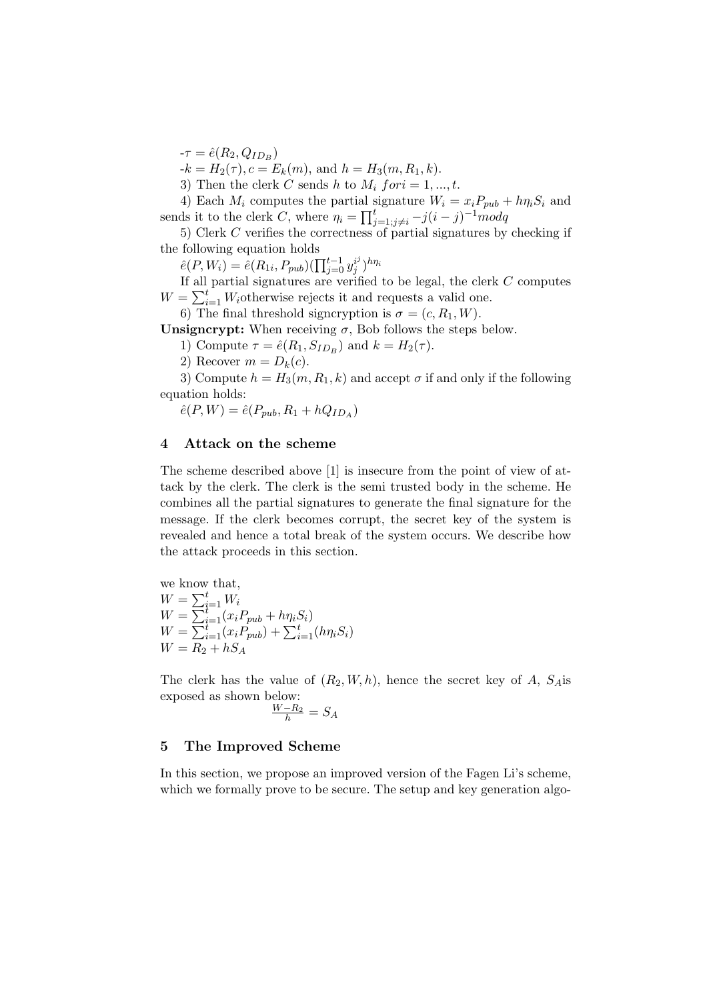$-\tau = \hat{e}(R_2, Q_{ID_B})$ 

 $-k = H_2(\tau), c = E_k(m), \text{ and } h = H_3(m, R_1, k).$ 

3) Then the clerk C sends h to  $M_i$  for  $i = 1, ..., t$ .

4) Each  $M_i$  computes the partial signature  $W_i = x_i P_{pub} + h \eta_i S_i$  and  $\epsilon$  is to the clerk C, where  $\eta_i = \prod_i^t$  $_{j=1;j\neq i}^{t}$  –  $j(i-j)^{-1}$ modq

5) Clerk C verifies the correctness of partial signatures by checking if the following equation holds

following equation holds<br>  $\hat{e}(P, W_i) = \hat{e}(R_{1i}, P_{pub})(\prod_{j=0}^{t-1} y_j^{i})$  $\binom{i^j}{j}h\eta_i$ 

If all partial signatures are verified to be legal, the clerk C computes<br> $-\sum_{i=1}^{t} W_{i}$  otherwise points it and possesses a valid and  $W = \sum_{i=1}^{t} W_i$ otherwise rejects it and requests a valid one.

6) The final threshold signcryption is  $\sigma = (c, R_1, W)$ .

Unsigncrypt: When receiving  $\sigma$ , Bob follows the steps below.

1) Compute  $\tau = \hat{e}(R_1, S_{ID_B})$  and  $k = H_2(\tau)$ .

2) Recover  $m = D_k(c)$ .

3) Compute  $h = H_3(m, R_1, k)$  and accept  $\sigma$  if and only if the following equation holds:

 $\hat{e}(P, W) = \hat{e}(P_{pub}, R_1 + hQ_{ID_A})$ 

## 4 Attack on the scheme

The scheme described above [1] is insecure from the point of view of attack by the clerk. The clerk is the semi trusted body in the scheme. He combines all the partial signatures to generate the final signature for the message. If the clerk becomes corrupt, the secret key of the system is revealed and hence a total break of the system occurs. We describe how the attack proceeds in this section.

we know that,  
\n
$$
W = \sum_{i=1}^{t} W_i
$$
\n
$$
W = \sum_{i=1}^{t} (x_i P_{pub} + h \eta_i S_i)
$$
\n
$$
W = \sum_{i=1}^{t} (x_i P_{pub}) + \sum_{i=1}^{t} (h \eta_i S_i)
$$
\n
$$
W = R_2 + h S_A
$$

The clerk has the value of  $(R_2, W, h)$ , hence the secret key of A,  $S_A$ is exposed as shown below:

$$
\frac{W - R_2}{h} = S_A
$$

## 5 The Improved Scheme

In this section, we propose an improved version of the Fagen Li's scheme, which we formally prove to be secure. The setup and key generation algo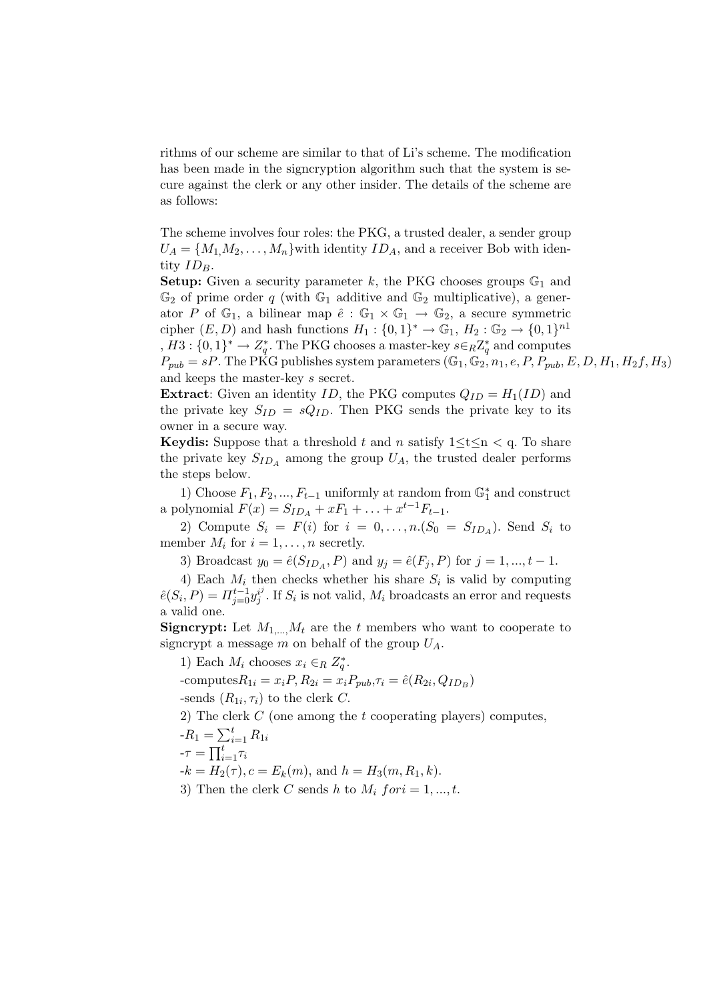rithms of our scheme are similar to that of Li's scheme. The modification has been made in the signcryption algorithm such that the system is secure against the clerk or any other insider. The details of the scheme are as follows:

The scheme involves four roles: the PKG, a trusted dealer, a sender group  $U_A = \{M_1, M_2, \ldots, M_n\}$  with identity  $ID_A$ , and a receiver Bob with identity  $ID_B$ .

**Setup:** Given a security parameter k, the PKG chooses groups  $\mathbb{G}_1$  and  $\mathbb{G}_2$  of prime order q (with  $\mathbb{G}_1$  additive and  $\mathbb{G}_2$  multiplicative), a generator P of  $\mathbb{G}_1$ , a bilinear map  $\hat{e}: \mathbb{G}_1 \times \mathbb{G}_1 \to \mathbb{G}_2$ , a secure symmetric cipher  $(E, D)$  and hash functions  $H_1: \{0,1\}^* \to \mathbb{G}_1$ ,  $H_2: \mathbb{G}_2 \to \{0,1\}^{n_1}$ ,  $H3: \{0,1\}^* \to Z_q^*$ . The PKG chooses a master-key  $s \in_R Z_q^*$  and computes  $P_{pub} = sP$ . The PKG publishes system parameters  $(\mathbb{G}_1, \mathbb{G}_2, n_1, e, P, P_{pub}, E, D, H_1, H_2f, H_3)$ and keeps the master-key s secret.

**Extract:** Given an identity ID, the PKG computes  $Q_{ID} = H_1(ID)$  and the private key  $S_{ID} = sQ_{ID}$ . Then PKG sends the private key to its owner in a secure way.

**Keydis:** Suppose that a threshold t and n satisfy  $1 \le t \le n \le q$ . To share the private key  $S_{ID_A}$  among the group  $U_A$ , the trusted dealer performs the steps below.

1) Choose  $F_1, F_2, ..., F_{t-1}$  uniformly at random from  $\mathbb{G}_1^*$  and construct a polynomial  $F(x) = S_{ID_A} + xF_1 + ... + x^{t-1}F_{t-1}$ .

2) Compute  $S_i = F(i)$  for  $i = 0, \ldots, n.(S_0 = S_{ID_A})$ . Send  $S_i$  to member  $M_i$  for  $i = 1, \ldots, n$  secretly.

3) Broadcast  $y_0 = \hat{e}(S_{ID_A}, P)$  and  $y_j = \hat{e}(F_j, P)$  for  $j = 1, ..., t - 1$ .

4) Each  $M_i$  then checks whether his share  $S_i$  is valid by computing  $\hat{e}(S_i,P)=\varPi_{j=0}^{t-1}y_j^{i^j}$  $j^{ij}$ . If  $S_i$  is not valid,  $M_i$  broadcasts an error and requests a valid one.

**Signcrypt:** Let  $M_{1,\dots,M_t}$  are the t members who want to cooperate to signcrypt a message m on behalf of the group  $U_A$ .

1) Each  $M_i$  chooses  $x_i \in_R Z_q^*$ . -computes $R_{1i} = x_i P, R_{2i} = x_i P_{pub}, \tau_i = \hat{e}(R_{2i}, Q_{ID_B})$ -sends  $(R_{1i}, \tau_i)$  to the clerk C. 2) The clerk C (one among the t cooperating players) computes,<br> $P = \sum_{i=1}^{t} P_i$ 

$$
-R_1 = \sum_{i=1}^t R_{1i}
$$

$$
= \prod_t^t \tau_t
$$

$$
-\tau = \prod_{i=1}^t \tau_i
$$

 $-k = H_2(\tau), c = E_k(m), \text{ and } h = H_3(m, R_1, k).$ 

3) Then the clerk C sends h to  $M_i$  for  $i = 1, ..., t$ .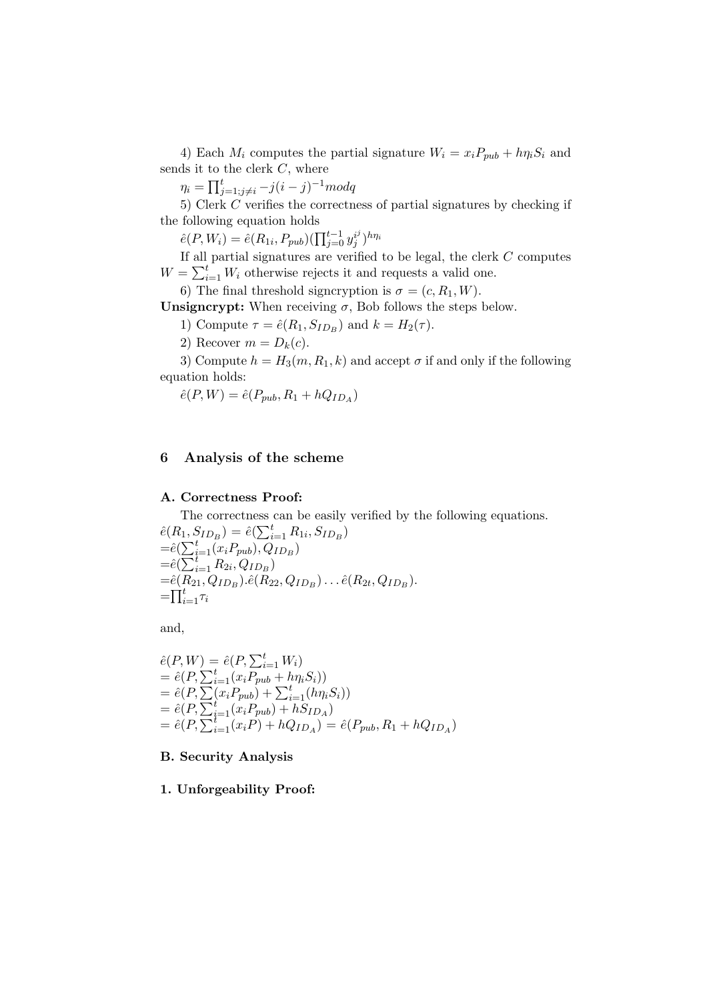4) Each  $M_i$  computes the partial signature  $W_i = x_i P_{pub} + h \eta_i S_i$  and sends it to the clerk  $C$ , where

 $\eta_i = \prod_{i=1}^t$  $_{j=1;j\neq i}^{t}$  –  $j(i-j)^{-1}$ modq

5) Clerk C verifies the correctness of partial signatures by checking if the following equation holds

 $\hat{e}(P, W_i) = \hat{e}(R_{1i}, P_{pub})(\prod_{j=0}^{t-1} y_j^{i})$  $\binom{i^j}{j}h\eta_i$ 

If all partial signatures are verified to be legal, the clerk  $C$  computes  $W = \sum_{i=1}^{n}$  $\sum_{i=1}^{t} W_i$  otherwise rejects it and requests a valid one.

6) The final threshold signcryption is  $\sigma = (c, R_1, W)$ .

Unsigncrypt: When receiving  $\sigma$ , Bob follows the steps below.

1) Compute  $\tau = \hat{e}(R_1, S_{ID_B})$  and  $k = H_2(\tau)$ .

2) Recover  $m = D_k(c)$ .

3) Compute  $h = H_3(m, R_1, k)$  and accept  $\sigma$  if and only if the following equation holds:

 $\hat{e}(P, W) = \hat{e}(P_{pub}, R_1 + hQ_{ID_A})$ 

# 6 Analysis of the scheme

#### A. Correctness Proof:

The correctness can be easily verified by the following equations. The correctness<br>  $\hat{e}(R_1, S_{ID_B}) = \hat{e}(\sum_i^t$  $_{i=1}^{t} R_{1i}$ ,  $S_{ID_B}$ )  $e(n_1, z)$ <br>= $\hat{e}(\sum_{i=1}^t$  $_{i=1}^{t}(x_{i}P_{pub}),Q_{ID_{B}})$  $=e(\sum_i i$ <br>= $\hat{e}(\sum_i i)$  $_{i=1}^{t} R_{2i}, Q_{ID_B})$  $=\hat{e}(R_{21}, Q_{ID_B}).\hat{e}(R_{22}, Q_{ID_B}).\dots \hat{e}(R_{2t}, Q_{ID_B}).$  $=$   $\prod_{i=1}^t \tau_i$ 

and,

$$
\begin{aligned}\n\hat{e}(P, W) &= \hat{e}(P, \sum_{i=1}^{t} W_i) \\
&= \hat{e}(P, \sum_{i=1}^{t} (x_i P_{pub} + h \eta_i S_i)) \\
&= \hat{e}(P, \sum_{i=1}^{t} (x_i P_{pub}) + \sum_{i=1}^{t} (h \eta_i S_i)) \\
&= \hat{e}(P, \sum_{i=1}^{t} (x_i P_{pub}) + h S_{ID_A}) \\
&= \hat{e}(P, \sum_{i=1}^{t} (x_i P) + h Q_{ID_A}) = \hat{e}(P_{pub}, R_1 + h Q_{ID_A})\n\end{aligned}
$$

## B. Security Analysis

### 1. Unforgeability Proof: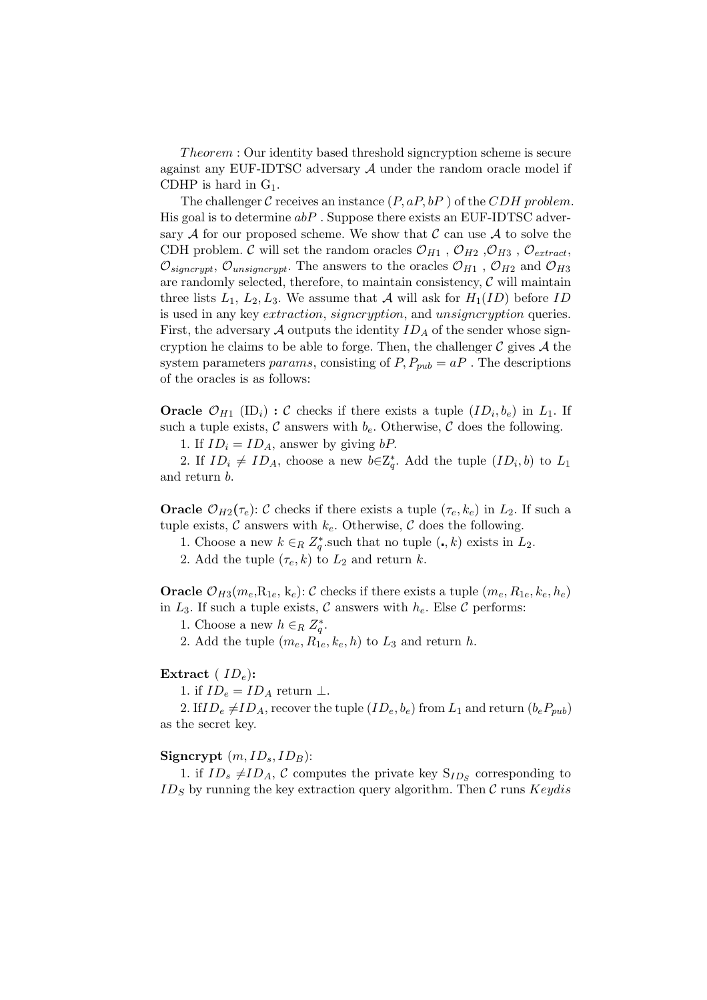Theorem : Our identity based threshold signcryption scheme is secure against any EUF-IDTSC adversary  $A$  under the random oracle model if CDHP is hard in  $G_1$ .

The challenger C receives an instance  $(P, aP, bP)$  of the CDH problem. His goal is to determine  $abP$ . Suppose there exists an EUF-IDTSC adversary  $A$  for our proposed scheme. We show that  $C$  can use  $A$  to solve the CDH problem.  $\mathcal C$  will set the random oracles  $\mathcal O_{H1}$ ,  $\mathcal O_{H2}$ ,  $\mathcal O_{H3}$ ,  $\mathcal O_{extract}$ ,  $\mathcal{O}_{\text{signcrypt}}$ ,  $\mathcal{O}_{\text{unsigncrypt}}$ . The answers to the oracles  $\mathcal{O}_{H1}$ ,  $\mathcal{O}_{H2}$  and  $\mathcal{O}_{H3}$ are randomly selected, therefore, to maintain consistency,  $\mathcal C$  will maintain three lists  $L_1, L_2, L_3$ . We assume that A will ask for  $H_1(ID)$  before ID is used in any key *extraction, signcryption*, and *unsigncryption* queries. First, the adversary  $A$  outputs the identity  $ID_A$  of the sender whose signcryption he claims to be able to forge. Then, the challenger  $\mathcal C$  gives  $\mathcal A$  the system parameters params, consisting of  $P, P_{pub} = aP$ . The descriptions of the oracles is as follows:

**Oracle**  $\mathcal{O}_{H1}$  (ID<sub>i</sub>) : C checks if there exists a tuple  $(ID_i, b_e)$  in  $L_1$ . If such a tuple exists,  $\mathcal C$  answers with  $b_e$ . Otherwise,  $\mathcal C$  does the following.

1. If  $ID_i = ID_A$ , answer by giving bP.

2. If  $ID_i \neq ID_A$ , choose a new  $b \in \mathbb{Z}_q^*$ . Add the tuple  $(ID_i, b)$  to  $L_1$ and return b.

**Oracle**  $\mathcal{O}_{H2}(\tau_e): \mathcal{C}$  checks if there exists a tuple  $(\tau_e, k_e)$  in  $L_2$ . If such a tuple exists,  $\mathcal C$  answers with  $k_e$ . Otherwise,  $\mathcal C$  does the following.

1. Choose a new  $k \in_R Z_q^*$  such that no tuple  $(., k)$  exists in  $L_2$ .

2. Add the tuple  $(\tau_e, k)$  to  $L_2$  and return k.

**Oracle**  $\mathcal{O}_{H3}(m_e, R_{1e}, k_e): \mathcal{C}$  checks if there exists a tuple  $(m_e, R_{1e}, k_e, h_e)$ in  $L_3$ . If such a tuple exists, C answers with  $h_e$ . Else C performs:

1. Choose a new  $h \in_R Z_q^*$ .

2. Add the tuple  $(m_e, R_{1e}, k_e, h)$  to  $L_3$  and return h.

### Extract ( $ID_e$ ):

1. if  $ID_e = ID_A$  return  $\perp$ .

2. If  $ID_e \neq ID_A$ , recover the tuple  $(ID_e, b_e)$  from  $L_1$  and return  $(b_eP_{pub})$ as the secret key.

## Signcrypt  $(m, ID<sub>s</sub>, ID<sub>B</sub>)$ :

1. if  $ID_s \neq ID_A$ , C computes the private key  $S_{ID_s}$  corresponding to  $ID_S$  by running the key extraction query algorithm. Then C runs  $Keydis$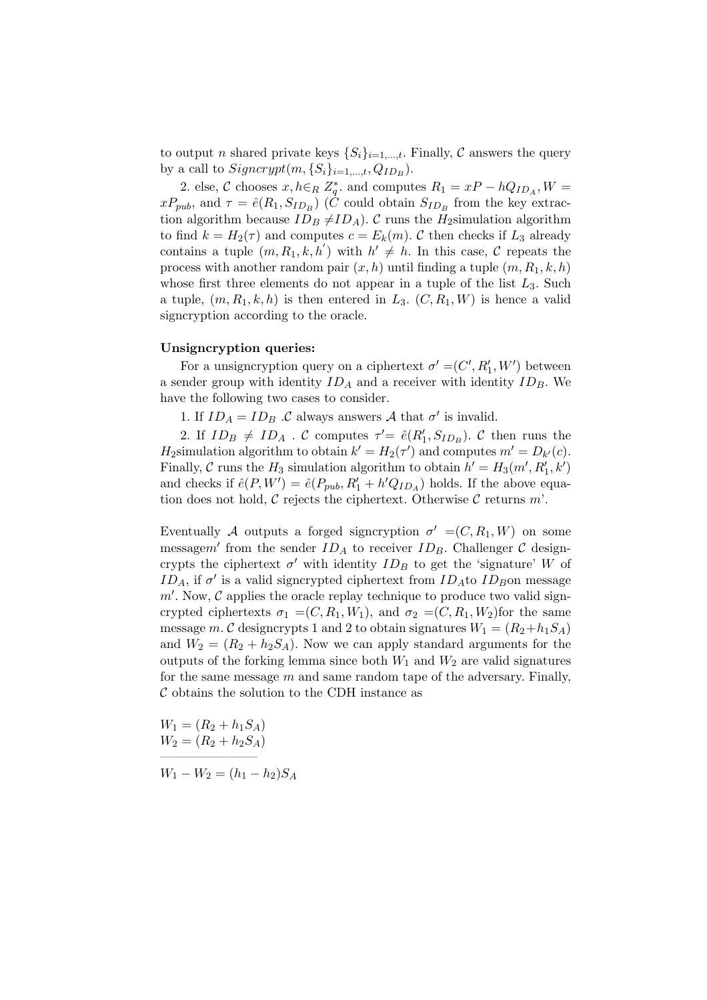to output n shared private keys  $\{S_i\}_{i=1,\dots,t}$ . Finally, C answers the query by a call to  $Signcrypt(m, \{S_i\}_{i=1,\dots,t}, Q_{ID_B})$ .

2. else, C chooses  $x, h \in_R Z_q^*$  and computes  $R_1 = xP - hQ_{ID_A}, W =$  $xP_{pub}$ , and  $\tau = \hat{e}(R_1, S_{ID_B})$  (*C* could obtain  $S_{ID_B}$  from the key extraction algorithm because  $ID_B \neq ID_A$ ). C runs the H<sub>2</sub>simulation algorithm to find  $k = H_2(\tau)$  and computes  $c = E_k(m)$ . C then checks if  $L_3$  already contains a tuple  $(m, R_1, k, h')$  with  $h' \neq h$ . In this case, C repeats the process with another random pair  $(x, h)$  until finding a tuple  $(m, R_1, k, h)$ whose first three elements do not appear in a tuple of the list  $L_3$ . Such a tuple,  $(m, R_1, k, h)$  is then entered in  $L_3$ .  $(C, R_1, W)$  is hence a valid signcryption according to the oracle.

## Unsigncryption queries:

For a unsigncryption query on a ciphertext  $\sigma' = (C', R'_1, W')$  between a sender group with identity  $ID_A$  and a receiver with identity  $ID_B$ . We have the following two cases to consider.

1. If  $ID_A = ID_B$ . C always answers A that  $\sigma'$  is invalid.

2. If  $ID_B \neq ID_A$ . C computes  $\tau' = \hat{e}(R'_1, S_{ID_B})$ . C then runs the  $H_2$ simulation algorithm to obtain  $k' = H_2(\tau')$  and computes  $m' = D_{k'}(c)$ . Finally,  $C$  runs the  $H_3$  simulation algorithm to obtain  $h' = H_3(m', R'_1, k')$ and checks if  $\hat{e}(P, W') = \hat{e}(P_{pub}, R'_1 + h'Q_{ID_A})$  holds. If the above equation does not hold,  $\mathcal C$  rejects the ciphertext. Otherwise  $\mathcal C$  returns  $m'$ .

Eventually A outputs a forged signcryption  $\sigma' = (C, R_1, W)$  on some messagem' from the sender  $ID_A$  to receiver  $ID_B$ . Challenger C designcrypts the ciphertext  $\sigma'$  with identity  $ID_B$  to get the 'signature' W of  $ID_A$ , if  $\sigma'$  is a valid signcrypted ciphertext from  $ID_A$ to  $ID_B$ on message  $m'$ . Now,  $\mathcal C$  applies the oracle replay technique to produce two valid signcrypted ciphertexts  $\sigma_1 = (C, R_1, W_1)$ , and  $\sigma_2 = (C, R_1, W_2)$  for the same message m. C designcrypts 1 and 2 to obtain signatures  $W_1 = (R_2 + h_1S_A)$ and  $W_2 = (R_2 + h_2S_A)$ . Now we can apply standard arguments for the outputs of the forking lemma since both  $W_1$  and  $W_2$  are valid signatures for the same message  $m$  and same random tape of the adversary. Finally,  $\mathcal C$  obtains the solution to the CDH instance as

 $W_1 = (R_2 + h_1S_A)$  $W_2 = (R_2 + h_2S_A)$ 

———————–

 $W_1 - W_2 = (h_1 - h_2)S_A$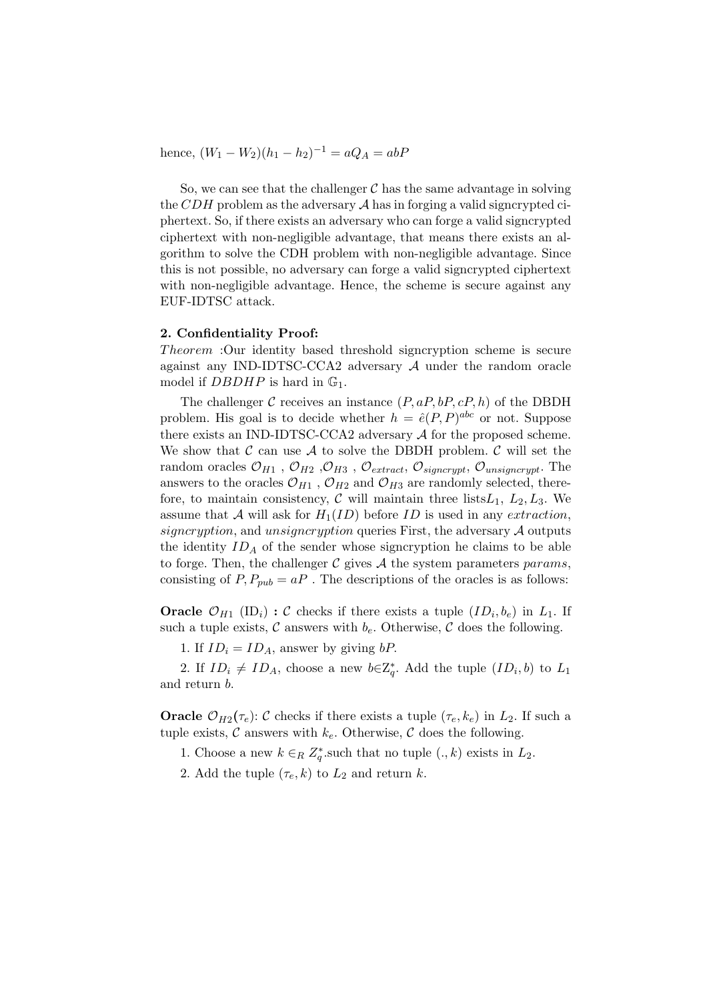hence,  $(W_1 - W_2)(h_1 - h_2)^{-1} = aQ_A = abP$ 

So, we can see that the challenger  $\mathcal C$  has the same advantage in solving the CDH problem as the adversary  $\mathcal A$  has in forging a valid signcrypted ciphertext. So, if there exists an adversary who can forge a valid signcrypted ciphertext with non-negligible advantage, that means there exists an algorithm to solve the CDH problem with non-negligible advantage. Since this is not possible, no adversary can forge a valid signcrypted ciphertext with non-negligible advantage. Hence, the scheme is secure against any EUF-IDTSC attack.

## 2. Confidentiality Proof:

Theorem : Our identity based threshold signcryption scheme is secure against any IND-IDTSC-CCA2 adversary A under the random oracle model if  $DBDHP$  is hard in  $\mathbb{G}_1$ .

The challenger C receives an instance  $(P, aP, bP, cP, h)$  of the DBDH problem. His goal is to decide whether  $h = \hat{e}(P, P)^{abc}$  or not. Suppose there exists an IND-IDTSC-CCA2 adversary A for the proposed scheme. We show that  $\mathcal C$  can use  $\mathcal A$  to solve the DBDH problem.  $\mathcal C$  will set the random oracles  $\mathcal{O}_{H1}$ ,  $\mathcal{O}_{H2}$ ,  $\mathcal{O}_{H3}$ ,  $\mathcal{O}_{extract}$ ,  $\mathcal{O}_{signcrypt}$ ,  $\mathcal{O}_{unsigncrypt}$ . The answers to the oracles  $\mathcal{O}_{H1}$ ,  $\mathcal{O}_{H2}$  and  $\mathcal{O}_{H3}$  are randomly selected, therefore, to maintain consistency,  $\mathcal C$  will maintain three lists  $L_1, L_2, L_3$ . We assume that A will ask for  $H_1(ID)$  before ID is used in any extraction, signcryption, and unsigncryption queries First, the adversary  $A$  outputs the identity  $ID_A$  of the sender whose signcryption he claims to be able to forge. Then, the challenger  $\mathcal C$  gives  $\mathcal A$  the system parameters params, consisting of  $P, P_{pub} = aP$ . The descriptions of the oracles is as follows:

**Oracle**  $\mathcal{O}_{H1}$  (ID<sub>i</sub>) : C checks if there exists a tuple  $(ID_i, b_e)$  in  $L_1$ . If such a tuple exists,  $\mathcal C$  answers with  $b_e$ . Otherwise,  $\mathcal C$  does the following.

1. If  $ID_i = ID_A$ , answer by giving bP.

2. If  $ID_i \neq ID_A$ , choose a new  $b \in \mathbb{Z}_q^*$ . Add the tuple  $(ID_i, b)$  to  $L_1$ and return b.

**Oracle**  $\mathcal{O}_{H2}(\tau_e): \mathcal{C}$  checks if there exists a tuple  $(\tau_e, k_e)$  in  $L_2$ . If such a tuple exists,  $\mathcal C$  answers with  $k_e$ . Otherwise,  $\mathcal C$  does the following.

- 1. Choose a new  $k \in_R Z_q^*$  such that no tuple  $(., k)$  exists in  $L_2$ .
- 2. Add the tuple  $(\tau_e, k)$  to  $L_2$  and return k.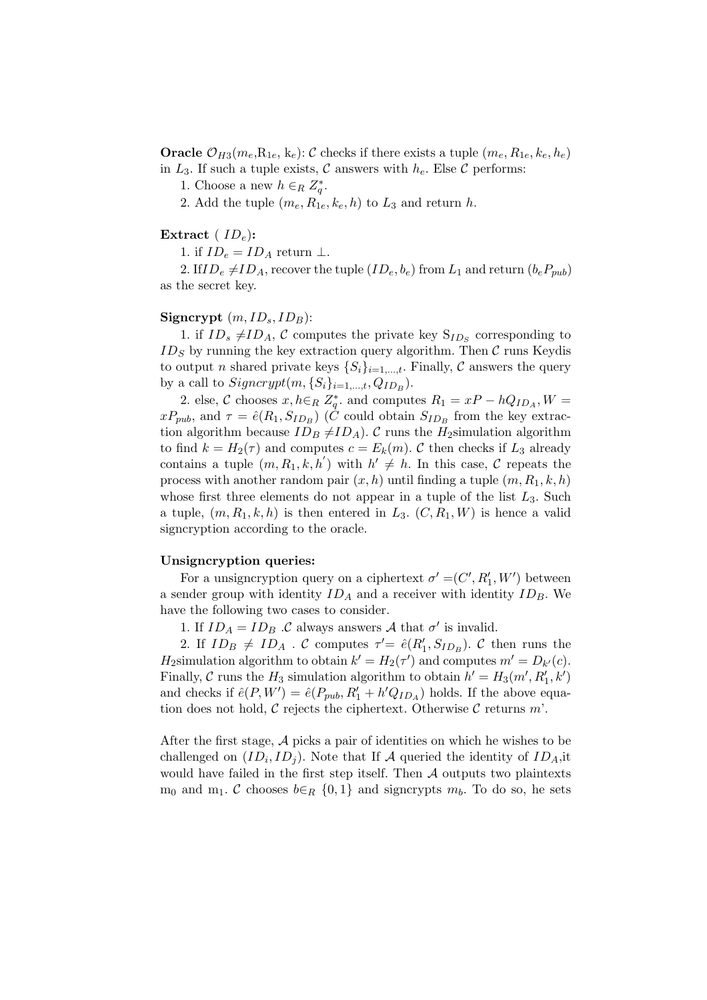**Oracle**  $\mathcal{O}_{H3}(m_e, R_{1e}, k_e): \mathcal{C}$  checks if there exists a tuple  $(m_e, R_{1e}, k_e, h_e)$ in  $L_3$ . If such a tuple exists, C answers with  $h_e$ . Else C performs:

1. Choose a new  $h \in_R Z_q^*$ .

2. Add the tuple  $(m_e, R_{1e}, k_e, h)$  to  $L_3$  and return h.

## Extract ( $ID_e$ ):

1. if  $ID_e = ID_A$  return  $\perp$ .

2. If  $ID_e \neq ID_A$ , recover the tuple  $(ID_e, b_e)$  from  $L_1$  and return  $(b_eP_{pub})$ as the secret key.

## Signcrypt  $(m, ID<sub>s</sub>, ID<sub>B</sub>)$ :

1. if  $ID_s \neq ID_A$ , C computes the private key  $S_{ID_s}$  corresponding to  $ID_S$  by running the key extraction query algorithm. Then  $C$  runs Keydis to output n shared private keys  $\{S_i\}_{i=1,\dots,t}$ . Finally, C answers the query by a call to  $Signcrypt(m, \{S_i\}_{i=1,\dots,t}, Q_{ID_B})$ .

2. else, C chooses  $x, h \in_R Z_q^*$  and computes  $R_1 = xP - hQ_{ID_A}, W =$  $xP_{pub}$ , and  $\tau = \hat{e}(R_1, S_{ID_B})$  (*C* could obtain  $S_{ID_B}$  from the key extraction algorithm because  $ID_B \neq ID_A$ ). C runs the H<sub>2</sub>simulation algorithm to find  $k = H_2(\tau)$  and computes  $c = E_k(m)$ . C then checks if  $L_3$  already contains a tuple  $(m, R_1, k, h')$  with  $h' \neq h$ . In this case, C repeats the process with another random pair  $(x, h)$  until finding a tuple  $(m, R_1, k, h)$ whose first three elements do not appear in a tuple of the list  $L_3$ . Such a tuple,  $(m, R_1, k, h)$  is then entered in  $L_3$ .  $(C, R_1, W)$  is hence a valid signcryption according to the oracle.

#### Unsigncryption queries:

For a unsigncryption query on a ciphertext  $\sigma' = (C', R'_1, W')$  between a sender group with identity  $ID_A$  and a receiver with identity  $ID_B$ . We have the following two cases to consider.

1. If  $ID_A = ID_B$ . C always answers A that  $\sigma'$  is invalid.

2. If  $ID_B \neq ID_A$ . C computes  $\tau' = \hat{e}(R'_1, S_{ID_B})$ . C then runs the  $H_2$ simulation algorithm to obtain  $k' = H_2(\tau')$  and computes  $m' = D_{k'}(c)$ . Finally,  $C$  runs the  $H_3$  simulation algorithm to obtain  $h' = H_3(m', R'_1, k')$ and checks if  $\hat{e}(P, W') = \hat{e}(P_{pub}, R'_1 + h'Q_{ID_A})$  holds. If the above equation does not hold,  $\mathcal C$  rejects the ciphertext. Otherwise  $\mathcal C$  returns  $m'$ .

After the first stage,  $A$  picks a pair of identities on which he wishes to be challenged on  $(ID_i, ID_j)$ . Note that If A queried the identity of  $ID_A$ , it would have failed in the first step itself. Then  $A$  outputs two plaintexts  $m_0$  and  $m_1$ . C chooses  $b \in_R \{0,1\}$  and signcrypts  $m_b$ . To do so, he sets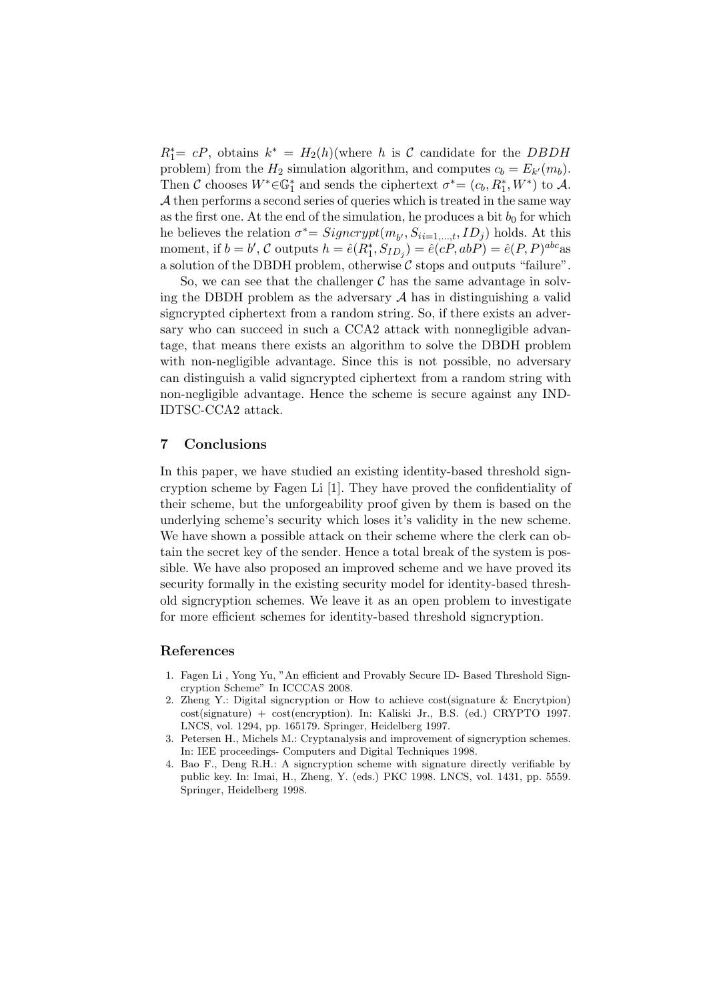$R_1^* = cP$ , obtains  $k^* = H_2(h)$  (where h is C candidate for the DBDH problem) from the  $H_2$  simulation algorithm, and computes  $c_b = E_{k'}(m_b)$ . Then  $\mathcal C$  chooses  $W^* \in \mathbb{G}_1^*$  and sends the ciphertext  $\sigma^* = (c_b, R_1^*, W^*)$  to  $\mathcal A$ .  $A$  then performs a second series of queries which is treated in the same way as the first one. At the end of the simulation, he produces a bit  $b_0$  for which he believes the relation  $\sigma^* = Signcrypt(m_{b'}, S_{ii=1,\dots,t}, ID_j)$  holds. At this moment, if  $b = b'$ , C outputs  $h = \hat{e}(R_1^*, S_{ID_j}) = \hat{e}(cP, abP) = \hat{e}(P, P)^{abc}$ as a solution of the DBDH problem, otherwise  $\mathcal C$  stops and outputs "failure".

So, we can see that the challenger  $\mathcal C$  has the same advantage in solving the DBDH problem as the adversary  $A$  has in distinguishing a valid signcrypted ciphertext from a random string. So, if there exists an adversary who can succeed in such a CCA2 attack with nonnegligible advantage, that means there exists an algorithm to solve the DBDH problem with non-negligible advantage. Since this is not possible, no adversary can distinguish a valid signcrypted ciphertext from a random string with non-negligible advantage. Hence the scheme is secure against any IND-IDTSC-CCA2 attack.

## 7 Conclusions

In this paper, we have studied an existing identity-based threshold signcryption scheme by Fagen Li [1]. They have proved the confidentiality of their scheme, but the unforgeability proof given by them is based on the underlying scheme's security which loses it's validity in the new scheme. We have shown a possible attack on their scheme where the clerk can obtain the secret key of the sender. Hence a total break of the system is possible. We have also proposed an improved scheme and we have proved its security formally in the existing security model for identity-based threshold signcryption schemes. We leave it as an open problem to investigate for more efficient schemes for identity-based threshold signcryption.

## References

- 1. Fagen Li , Yong Yu, "An efficient and Provably Secure ID- Based Threshold Signcryption Scheme" In ICCCAS 2008.
- 2. Zheng Y.: Digital signcryption or How to achieve cost(signature & Encrytpion) cost(signature) + cost(encryption). In: Kaliski Jr., B.S. (ed.) CRYPTO 1997. LNCS, vol. 1294, pp. 165179. Springer, Heidelberg 1997.
- 3. Petersen H., Michels M.: Cryptanalysis and improvement of signcryption schemes. In: IEE proceedings- Computers and Digital Techniques 1998.
- 4. Bao F., Deng R.H.: A signcryption scheme with signature directly verifiable by public key. In: Imai, H., Zheng, Y. (eds.) PKC 1998. LNCS, vol. 1431, pp. 5559. Springer, Heidelberg 1998.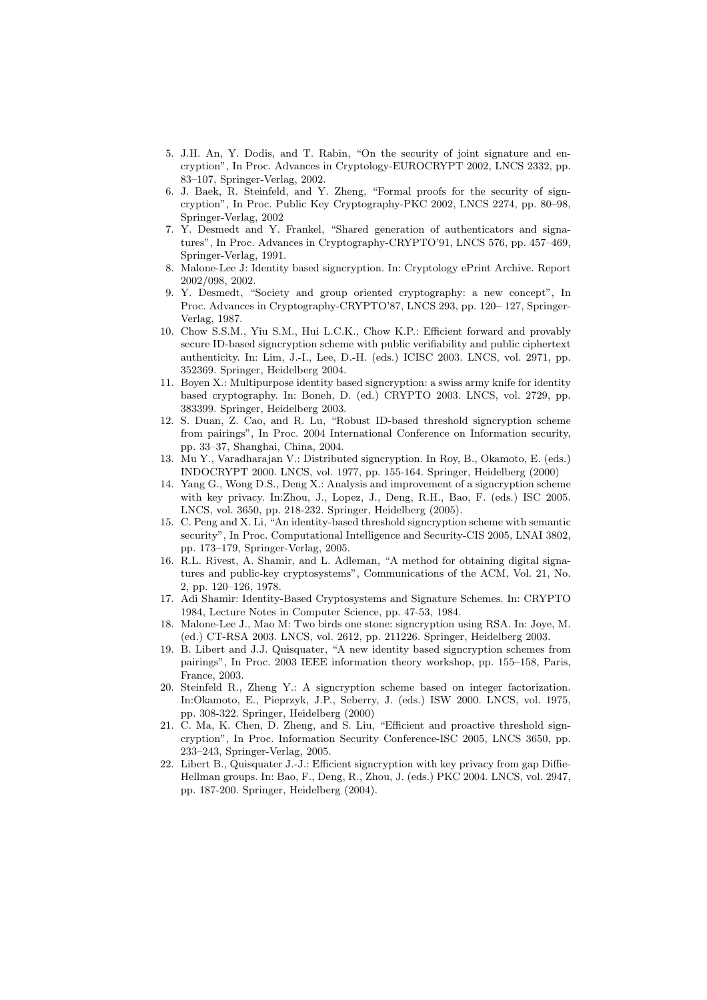- 5. J.H. An, Y. Dodis, and T. Rabin, "On the security of joint signature and encryption", In Proc. Advances in Cryptology-EUROCRYPT 2002, LNCS 2332, pp. 83–107, Springer-Verlag, 2002.
- 6. J. Baek, R. Steinfeld, and Y. Zheng, "Formal proofs for the security of signcryption", In Proc. Public Key Cryptography-PKC 2002, LNCS 2274, pp. 80–98, Springer-Verlag, 2002
- 7. Y. Desmedt and Y. Frankel, "Shared generation of authenticators and signatures", In Proc. Advances in Cryptography-CRYPTO'91, LNCS 576, pp. 457–469, Springer-Verlag, 1991.
- 8. Malone-Lee J: Identity based signcryption. In: Cryptology ePrint Archive. Report 2002/098, 2002.
- 9. Y. Desmedt, "Society and group oriented cryptography: a new concept", In Proc. Advances in Cryptography-CRYPTO'87, LNCS 293, pp. 120– 127, Springer-Verlag, 1987.
- 10. Chow S.S.M., Yiu S.M., Hui L.C.K., Chow K.P.: Efficient forward and provably secure ID-based signcryption scheme with public verifiability and public ciphertext authenticity. In: Lim, J.-I., Lee, D.-H. (eds.) ICISC 2003. LNCS, vol. 2971, pp. 352369. Springer, Heidelberg 2004.
- 11. Boyen X.: Multipurpose identity based signcryption: a swiss army knife for identity based cryptography. In: Boneh, D. (ed.) CRYPTO 2003. LNCS, vol. 2729, pp. 383399. Springer, Heidelberg 2003.
- 12. S. Duan, Z. Cao, and R. Lu, "Robust ID-based threshold signcryption scheme from pairings", In Proc. 2004 International Conference on Information security, pp. 33–37, Shanghai, China, 2004.
- 13. Mu Y., Varadharajan V.: Distributed signcryption. In Roy, B., Okamoto, E. (eds.) INDOCRYPT 2000. LNCS, vol. 1977, pp. 155-164. Springer, Heidelberg (2000)
- 14. Yang G., Wong D.S., Deng X.: Analysis and improvement of a signcryption scheme with key privacy. In:Zhou, J., Lopez, J., Deng, R.H., Bao, F. (eds.) ISC 2005. LNCS, vol. 3650, pp. 218-232. Springer, Heidelberg (2005).
- 15. C. Peng and X. Li, "An identity-based threshold signcryption scheme with semantic security", In Proc. Computational Intelligence and Security-CIS 2005, LNAI 3802, pp. 173–179, Springer-Verlag, 2005.
- 16. R.L. Rivest, A. Shamir, and L. Adleman, "A method for obtaining digital signatures and public-key cryptosystems", Communications of the ACM, Vol. 21, No. 2, pp. 120–126, 1978.
- 17. Adi Shamir: Identity-Based Cryptosystems and Signature Schemes. In: CRYPTO 1984, Lecture Notes in Computer Science, pp. 47-53, 1984.
- 18. Malone-Lee J., Mao M: Two birds one stone: signcryption using RSA. In: Joye, M. (ed.) CT-RSA 2003. LNCS, vol. 2612, pp. 211226. Springer, Heidelberg 2003.
- 19. B. Libert and J.J. Quisquater, "A new identity based signcryption schemes from pairings", In Proc. 2003 IEEE information theory workshop, pp. 155–158, Paris, France, 2003.
- 20. Steinfeld R., Zheng Y.: A signcryption scheme based on integer factorization. In:Okamoto, E., Pieprzyk, J.P., Seberry, J. (eds.) ISW 2000. LNCS, vol. 1975, pp. 308-322. Springer, Heidelberg (2000)
- 21. C. Ma, K. Chen, D. Zheng, and S. Liu, "Efficient and proactive threshold signcryption", In Proc. Information Security Conference-ISC 2005, LNCS 3650, pp. 233–243, Springer-Verlag, 2005.
- 22. Libert B., Quisquater J.-J.: Efficient signcryption with key privacy from gap Diffie-Hellman groups. In: Bao, F., Deng, R., Zhou, J. (eds.) PKC 2004. LNCS, vol. 2947, pp. 187-200. Springer, Heidelberg (2004).